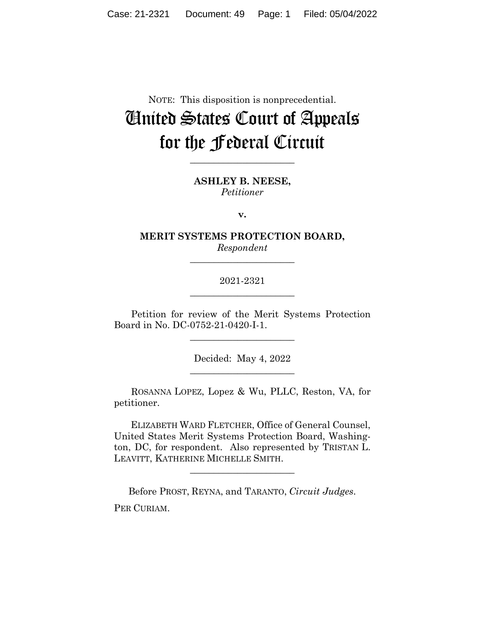## NOTE: This disposition is nonprecedential. United States Court of Appeals for the Federal Circuit

**ASHLEY B. NEESE,** *Petitioner*

**\_\_\_\_\_\_\_\_\_\_\_\_\_\_\_\_\_\_\_\_\_\_** 

**v.**

**MERIT SYSTEMS PROTECTION BOARD,** *Respondent*

**\_\_\_\_\_\_\_\_\_\_\_\_\_\_\_\_\_\_\_\_\_\_** 

2021-2321 **\_\_\_\_\_\_\_\_\_\_\_\_\_\_\_\_\_\_\_\_\_\_** 

Petition for review of the Merit Systems Protection Board in No. DC-0752-21-0420-I-1.

 $\overline{\phantom{a}}$  , where  $\overline{\phantom{a}}$  , where  $\overline{\phantom{a}}$  , where  $\overline{\phantom{a}}$  ,  $\overline{\phantom{a}}$  ,  $\overline{\phantom{a}}$  ,  $\overline{\phantom{a}}$  ,  $\overline{\phantom{a}}$  ,  $\overline{\phantom{a}}$  ,  $\overline{\phantom{a}}$  ,  $\overline{\phantom{a}}$  ,  $\overline{\phantom{a}}$  ,  $\overline{\phantom{a}}$  ,  $\overline{\phantom{a}}$  ,  $\overline{\phantom$ 

Decided: May 4, 2022  $\overline{\phantom{a}}$  , where  $\overline{\phantom{a}}$  , where  $\overline{\phantom{a}}$  , where  $\overline{\phantom{a}}$  ,  $\overline{\phantom{a}}$  ,  $\overline{\phantom{a}}$  ,  $\overline{\phantom{a}}$  ,  $\overline{\phantom{a}}$  ,  $\overline{\phantom{a}}$  ,  $\overline{\phantom{a}}$  ,  $\overline{\phantom{a}}$  ,  $\overline{\phantom{a}}$  ,  $\overline{\phantom{a}}$  ,  $\overline{\phantom{a}}$  ,  $\overline{\phantom$ 

ROSANNA LOPEZ, Lopez & Wu, PLLC, Reston, VA, for petitioner.

 ELIZABETH WARD FLETCHER, Office of General Counsel, United States Merit Systems Protection Board, Washington, DC, for respondent. Also represented by TRISTAN L. LEAVITT, KATHERINE MICHELLE SMITH.

 $\overline{\phantom{a}}$  , where  $\overline{\phantom{a}}$  , where  $\overline{\phantom{a}}$  , where  $\overline{\phantom{a}}$ 

Before PROST, REYNA, and TARANTO, *Circuit Judges*. PER CURIAM.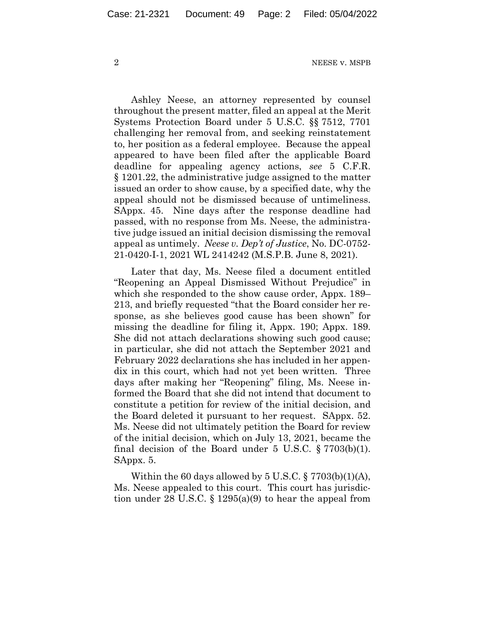Ashley Neese, an attorney represented by counsel throughout the present matter, filed an appeal at the Merit Systems Protection Board under 5 U.S.C. §§ 7512, 7701 challenging her removal from, and seeking reinstatement to, her position as a federal employee. Because the appeal appeared to have been filed after the applicable Board deadline for appealing agency actions, *see* 5 C.F.R. § 1201.22, the administrative judge assigned to the matter issued an order to show cause, by a specified date, why the appeal should not be dismissed because of untimeliness. SAppx. 45. Nine days after the response deadline had passed, with no response from Ms. Neese, the administrative judge issued an initial decision dismissing the removal appeal as untimely. *Neese v. Dep't of Justice*, No. DC-0752- 21-0420-I-1, 2021 WL 2414242 (M.S.P.B. June 8, 2021).

Later that day, Ms. Neese filed a document entitled "Reopening an Appeal Dismissed Without Prejudice" in which she responded to the show cause order, Appx. 189– 213, and briefly requested "that the Board consider her response, as she believes good cause has been shown" for missing the deadline for filing it, Appx. 190; Appx. 189. She did not attach declarations showing such good cause; in particular, she did not attach the September 2021 and February 2022 declarations she has included in her appendix in this court, which had not yet been written. Three days after making her "Reopening" filing, Ms. Neese informed the Board that she did not intend that document to constitute a petition for review of the initial decision, and the Board deleted it pursuant to her request. SAppx. 52. Ms. Neese did not ultimately petition the Board for review of the initial decision, which on July 13, 2021, became the final decision of the Board under  $5 \text{ U.S.C. } \frac{5}{3} \cdot 7703 \text{ (b)}(1)$ . SAppx. 5.

Within the 60 days allowed by  $5 \text{ U.S.C.} \$   $7703(b)(1)(\text{A})$ , Ms. Neese appealed to this court. This court has jurisdiction under 28 U.S.C.  $\S$  1295(a)(9) to hear the appeal from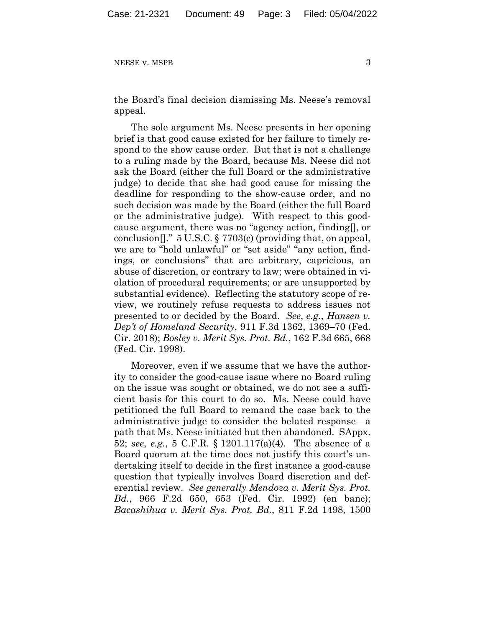the Board's final decision dismissing Ms. Neese's removal appeal.

The sole argument Ms. Neese presents in her opening brief is that good cause existed for her failure to timely respond to the show cause order. But that is not a challenge to a ruling made by the Board, because Ms. Neese did not ask the Board (either the full Board or the administrative judge) to decide that she had good cause for missing the deadline for responding to the show-cause order, and no such decision was made by the Board (either the full Board or the administrative judge). With respect to this goodcause argument, there was no "agency action, finding[], or conclusion[]." 5 U.S.C. § 7703(c) (providing that, on appeal, we are to "hold unlawful" or "set aside" "any action, findings, or conclusions" that are arbitrary, capricious, an abuse of discretion, or contrary to law; were obtained in violation of procedural requirements; or are unsupported by substantial evidence). Reflecting the statutory scope of review, we routinely refuse requests to address issues not presented to or decided by the Board. *See*, *e.g.*, *Hansen v. Dep't of Homeland Security*, 911 F.3d 1362, 1369–70 (Fed. Cir. 2018); *Bosley v. Merit Sys. Prot. Bd.*, 162 F.3d 665, 668 (Fed. Cir. 1998).

Moreover, even if we assume that we have the authority to consider the good-cause issue where no Board ruling on the issue was sought or obtained, we do not see a sufficient basis for this court to do so. Ms. Neese could have petitioned the full Board to remand the case back to the administrative judge to consider the belated response—a path that Ms. Neese initiated but then abandoned. SAppx. 52; *see*, *e.g.*, 5 C.F.R. § 1201.117(a)(4). The absence of a Board quorum at the time does not justify this court's undertaking itself to decide in the first instance a good-cause question that typically involves Board discretion and deferential review. *See generally Mendoza v. Merit Sys. Prot. Bd.*, 966 F.2d 650, 653 (Fed. Cir. 1992) (en banc); *Bacashihua v. Merit Sys. Prot. Bd.*, 811 F.2d 1498, 1500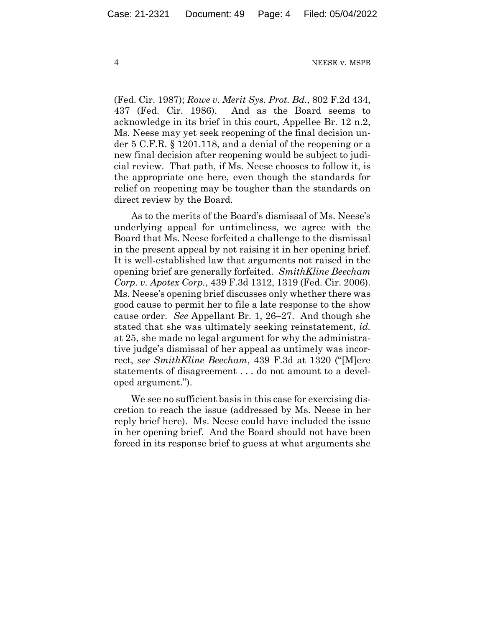(Fed. Cir. 1987); *Rowe v. Merit Sys. Prot. Bd.*, 802 F.2d 434, 437 (Fed. Cir. 1986). And as the Board seems to acknowledge in its brief in this court, Appellee Br. 12 n.2, Ms. Neese may yet seek reopening of the final decision under 5 C.F.R. § 1201.118, and a denial of the reopening or a new final decision after reopening would be subject to judicial review. That path, if Ms. Neese chooses to follow it, is the appropriate one here, even though the standards for relief on reopening may be tougher than the standards on direct review by the Board.

As to the merits of the Board's dismissal of Ms. Neese's underlying appeal for untimeliness, we agree with the Board that Ms. Neese forfeited a challenge to the dismissal in the present appeal by not raising it in her opening brief. It is well-established law that arguments not raised in the opening brief are generally forfeited. *SmithKline Beecham Corp. v. Apotex Corp.*, 439 F.3d 1312, 1319 (Fed. Cir. 2006). Ms. Neese's opening brief discusses only whether there was good cause to permit her to file a late response to the show cause order. *See* Appellant Br. 1, 26–27. And though she stated that she was ultimately seeking reinstatement, *id.* at 25, she made no legal argument for why the administrative judge's dismissal of her appeal as untimely was incorrect, *see SmithKline Beecham*, 439 F.3d at 1320 ("[M]ere statements of disagreement . . . do not amount to a developed argument.").

We see no sufficient basis in this case for exercising discretion to reach the issue (addressed by Ms. Neese in her reply brief here). Ms. Neese could have included the issue in her opening brief. And the Board should not have been forced in its response brief to guess at what arguments she